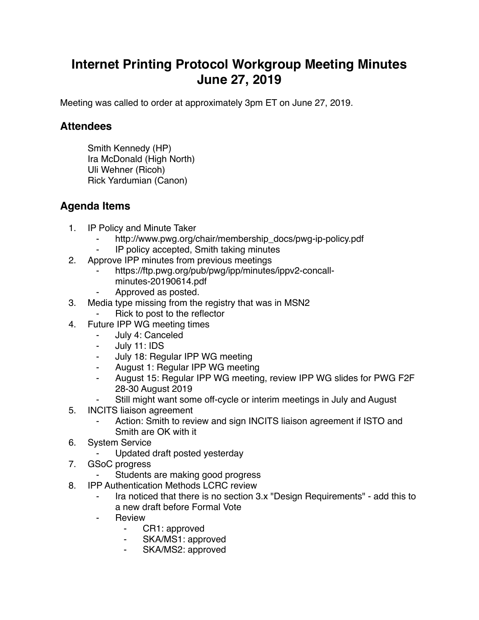## **Internet Printing Protocol Workgroup Meeting Minutes June 27, 2019**

Meeting was called to order at approximately 3pm ET on June 27, 2019.

## **Attendees**

Smith Kennedy (HP) Ira McDonald (High North) Uli Wehner (Ricoh) Rick Yardumian (Canon)

## **Agenda Items**

- 1. IP Policy and Minute Taker
	- http://www.pwg.org/chair/membership\_docs/pwg-ip-policy.pdf
	- ⁃ IP policy accepted, Smith taking minutes
- 2. Approve IPP minutes from previous meetings
	- https://ftp.pwg.org/pub/pwg/ipp/minutes/ippv2-concallminutes-20190614.pdf
	- Approved as posted.
- 3. Media type missing from the registry that was in MSN2
	- Rick to post to the reflector
- 4. Future IPP WG meeting times
	- July 4: Canceled
	- July 11: IDS
	- ⁃ July 18: Regular IPP WG meeting
	- ⁃ August 1: Regular IPP WG meeting
	- August 15: Regular IPP WG meeting, review IPP WG slides for PWG F2F 28-30 August 2019
	- Still might want some off-cycle or interim meetings in July and August
- 5. INCITS liaison agreement
	- Action: Smith to review and sign INCITS liaison agreement if ISTO and Smith are OK with it
- 6. System Service
	- ⁃ Updated draft posted yesterday
- 7. GSoC progress
	- Students are making good progress
- 8. IPP Authentication Methods LCRC review
	- Ira noticed that there is no section 3.x "Design Requirements" add this to a new draft before Formal Vote
	- **Review** 
		- CR1: approved
		- ⁃ SKA/MS1: approved
		- SKA/MS2: approved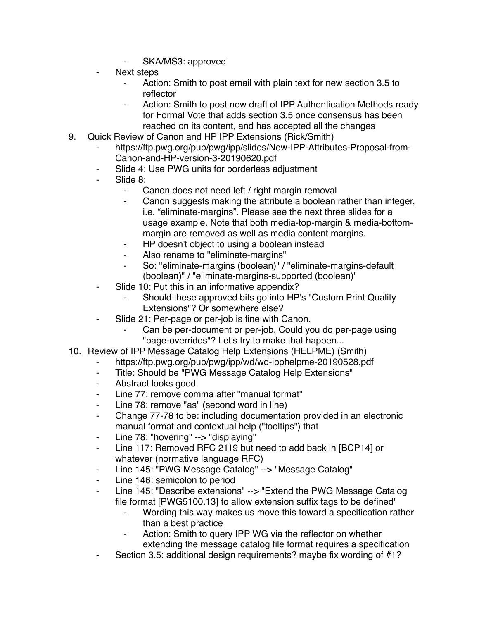- SKA/MS3: approved
- Next steps
	- Action: Smith to post email with plain text for new section 3.5 to reflector
	- Action: Smith to post new draft of IPP Authentication Methods ready for Formal Vote that adds section 3.5 once consensus has been reached on its content, and has accepted all the changes
- 9. Quick Review of Canon and HP IPP Extensions (Rick/Smith)
	- https://ftp.pwg.org/pub/pwg/ipp/slides/New-IPP-Attributes-Proposal-from-Canon-and-HP-version-3-20190620.pdf
	- Slide 4: Use PWG units for borderless adjustment
	- Slide 8:
		- Canon does not need left / right margin removal
		- ⁃ Canon suggests making the attribute a boolean rather than integer, i.e. "eliminate-margins". Please see the next three slides for a usage example. Note that both media-top-margin & media-bottommargin are removed as well as media content margins.
		- HP doesn't object to using a boolean instead
		- Also rename to "eliminate-margins"
		- ⁃ So: "eliminate-margins (boolean)" / "eliminate-margins-default (boolean)" / "eliminate-margins-supported (boolean)"
	- ⁃ Slide 10: Put this in an informative appendix?
		- Should these approved bits go into HP's "Custom Print Quality" Extensions"? Or somewhere else?
	- Slide 21: Per-page or per-job is fine with Canon.
		- Can be per-document or per-job. Could you do per-page using "page-overrides"? Let's try to make that happen...
- 10. Review of IPP Message Catalog Help Extensions (HELPME) (Smith)
	- ⁃ https://ftp.pwg.org/pub/pwg/ipp/wd/wd-ipphelpme-20190528.pdf
	- ⁃ Title: Should be "PWG Message Catalog Help Extensions"
	- ⁃ Abstract looks good
	- ⁃ Line 77: remove comma after "manual format"
	- Line 78: remove "as" (second word in line)
	- ⁃ Change 77-78 to be: including documentation provided in an electronic manual format and contextual help ("tooltips") that
	- Line 78: "hovering" --> "displaying"
	- ⁃ Line 117: Removed RFC 2119 but need to add back in [BCP14] or whatever (normative language RFC)
	- Line 145: "PWG Message Catalog" --> "Message Catalog"
	- Line 146: semicolon to period
	- Line 145: "Describe extensions" --> "Extend the PWG Message Catalog file format [PWG5100.13] to allow extension suffix tags to be defined"
		- Wording this way makes us move this toward a specification rather than a best practice
		- Action: Smith to query IPP WG via the reflector on whether extending the message catalog file format requires a specification
	- Section 3.5: additional design requirements? maybe fix wording of #1?